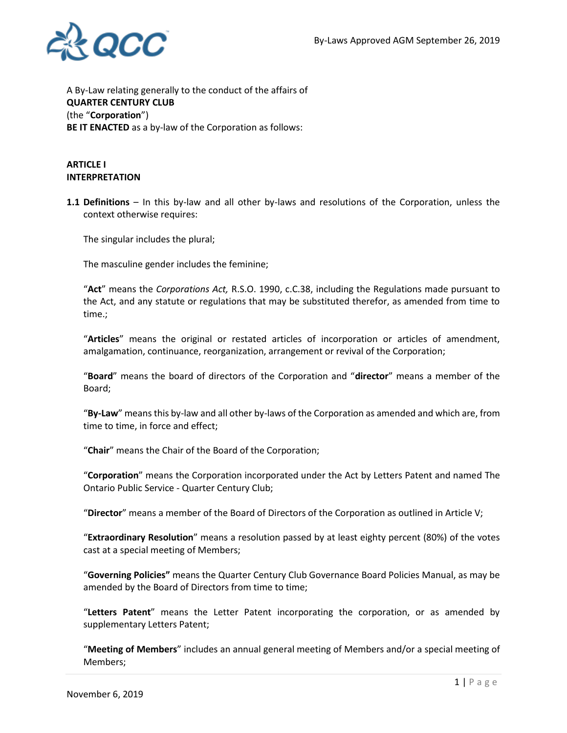

A By-Law relating generally to the conduct of the affairs of **QUARTER CENTURY CLUB** (the "**Corporation**") **BE IT ENACTED** as a by-law of the Corporation as follows:

### **ARTICLE I INTERPRETATION**

**1.1 Definitions** – In this by-law and all other by-laws and resolutions of the Corporation, unless the context otherwise requires:

The singular includes the plural;

The masculine gender includes the feminine;

"**Act**" means the *Corporations Act,* R.S.O. 1990, c.C.38, including the Regulations made pursuant to the Act, and any statute or regulations that may be substituted therefor, as amended from time to time.;

"**Articles**" means the original or restated articles of incorporation or articles of amendment, amalgamation, continuance, reorganization, arrangement or revival of the Corporation;

"**Board**" means the board of directors of the Corporation and "**director**" means a member of the Board;

"**By-Law**" means this by-law and all other by-laws of the Corporation as amended and which are, from time to time, in force and effect;

"**Chair**" means the Chair of the Board of the Corporation;

"**Corporation**" means the Corporation incorporated under the Act by Letters Patent and named The Ontario Public Service - Quarter Century Club;

"**Director**" means a member of the Board of Directors of the Corporation as outlined in Article V;

"**Extraordinary Resolution**" means a resolution passed by at least eighty percent (80%) of the votes cast at a special meeting of Members;

"**Governing Policies"** means the Quarter Century Club Governance Board Policies Manual, as may be amended by the Board of Directors from time to time;

"**Letters Patent**" means the Letter Patent incorporating the corporation, or as amended by supplementary Letters Patent;

"**Meeting of Members**" includes an annual general meeting of Members and/or a special meeting of Members;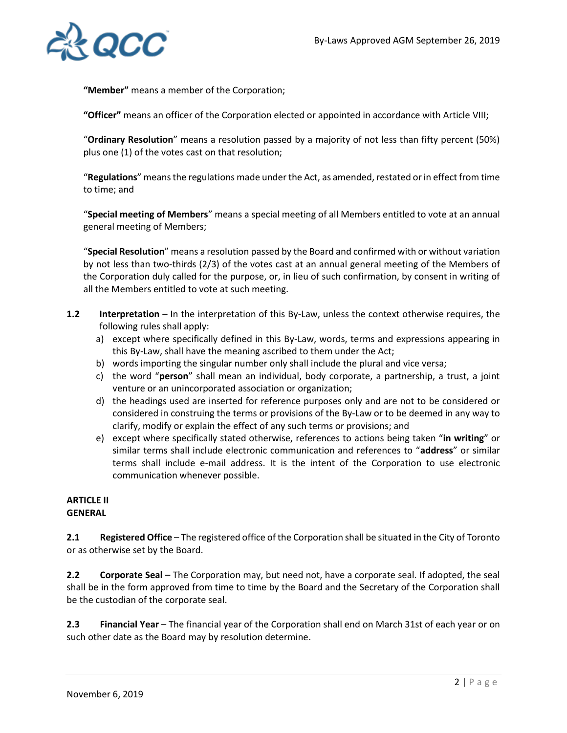

**"Member"** means a member of the Corporation;

**"Officer"** means an officer of the Corporation elected or appointed in accordance with Article VIII;

"**Ordinary Resolution**" means a resolution passed by a majority of not less than fifty percent (50%) plus one (1) of the votes cast on that resolution;

"**Regulations**" means the regulations made under the Act, as amended, restated or in effect from time to time; and

"**Special meeting of Members**" means a special meeting of all Members entitled to vote at an annual general meeting of Members;

"**Special Resolution**" means a resolution passed by the Board and confirmed with or without variation by not less than two-thirds (2/3) of the votes cast at an annual general meeting of the Members of the Corporation duly called for the purpose, or, in lieu of such confirmation, by consent in writing of all the Members entitled to vote at such meeting.

- **1.2** Interpretation In the interpretation of this By-Law, unless the context otherwise requires, the following rules shall apply:
	- a) except where specifically defined in this By-Law, words, terms and expressions appearing in this By-Law, shall have the meaning ascribed to them under the Act;
	- b) words importing the singular number only shall include the plural and vice versa;
	- c) the word "**person**" shall mean an individual, body corporate, a partnership, a trust, a joint venture or an unincorporated association or organization;
	- d) the headings used are inserted for reference purposes only and are not to be considered or considered in construing the terms or provisions of the By-Law or to be deemed in any way to clarify, modify or explain the effect of any such terms or provisions; and
	- e) except where specifically stated otherwise, references to actions being taken "**in writing**" or similar terms shall include electronic communication and references to "**address**" or similar terms shall include e-mail address. It is the intent of the Corporation to use electronic communication whenever possible.

#### **ARTICLE II GENERAL**

**2.1 Registered Office** – The registered office of the Corporation shall be situated in the City of Toronto or as otherwise set by the Board.

**2.2 Corporate Seal** – The Corporation may, but need not, have a corporate seal. If adopted, the seal shall be in the form approved from time to time by the Board and the Secretary of the Corporation shall be the custodian of the corporate seal.

**2.3 Financial Year** – The financial year of the Corporation shall end on March 31st of each year or on such other date as the Board may by resolution determine.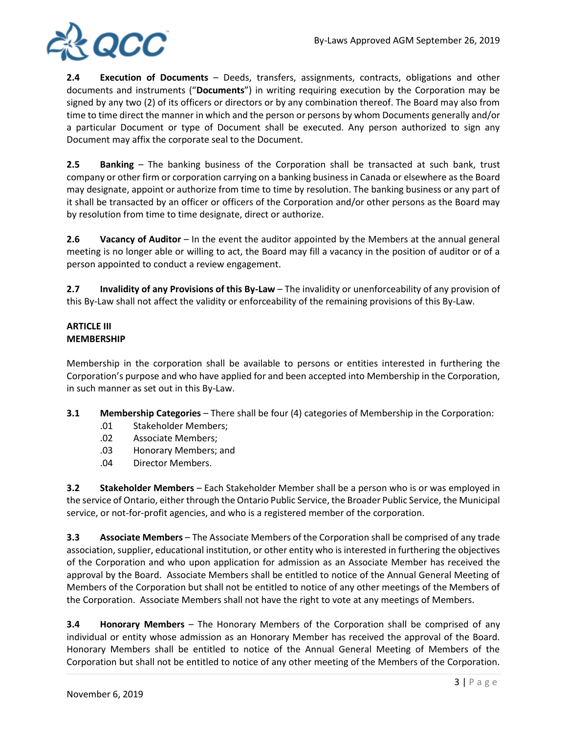

**2.4 Execution of Documents** – Deeds, transfers, assignments, contracts, obligations and other documents and instruments ("**Documents**") in writing requiring execution by the Corporation may be signed by any two (2) of its officers or directors or by any combination thereof. The Board may also from time to time direct the manner in which and the person or persons by whom Documents generally and/or a particular Document or type of Document shall be executed. Any person authorized to sign any Document may affix the corporate seal to the Document.

**2.5 Banking** – The banking business of the Corporation shall be transacted at such bank, trust company or other firm or corporation carrying on a banking business in Canada or elsewhere as the Board may designate, appoint or authorize from time to time by resolution. The banking business or any part of it shall be transacted by an officer or officers of the Corporation and/or other persons as the Board may by resolution from time to time designate, direct or authorize.

**2.6** Vacancy of Auditor – In the event the auditor appointed by the Members at the annual general meeting is no longer able or willing to act, the Board may fill a vacancy in the position of auditor or of a person appointed to conduct a review engagement.

**2.7 Invalidity of any Provisions of this By-Law** – The invalidity or unenforceability of any provision of this By-Law shall not affect the validity or enforceability of the remaining provisions of this By-Law.

# **ARTICLE III MEMBERSHIP**

Membership in the corporation shall be available to persons or entities interested in furthering the Corporation's purpose and who have applied for and been accepted into Membership in the Corporation, in such manner as set out in this By-Law.

- **3.1 Membership Categories** There shall be four (4) categories of Membership in the Corporation:
	- .01 Stakeholder Members;
	- .02 Associate Members;
	- .03 Honorary Members; and
	- .04 Director Members.

**3.2 Stakeholder Members** – Each Stakeholder Member shall be a person who is or was employed in the service of Ontario, either through the Ontario Public Service, the Broader Public Service, the Municipal service, or not-for-profit agencies, and who is a registered member of the corporation.

**3.3 Associate Members** – The Associate Members of the Corporation shall be comprised of any trade association, supplier, educational institution, or other entity who is interested in furthering the objectives of the Corporation and who upon application for admission as an Associate Member has received the approval by the Board. Associate Members shall be entitled to notice of the Annual General Meeting of Members of the Corporation but shall not be entitled to notice of any other meetings of the Members of the Corporation. Associate Members shall not have the right to vote at any meetings of Members.

**3.4 Honorary Members** – The Honorary Members of the Corporation shall be comprised of any individual or entity whose admission as an Honorary Member has received the approval of the Board. Honorary Members shall be entitled to notice of the Annual General Meeting of Members of the Corporation but shall not be entitled to notice of any other meeting of the Members of the Corporation.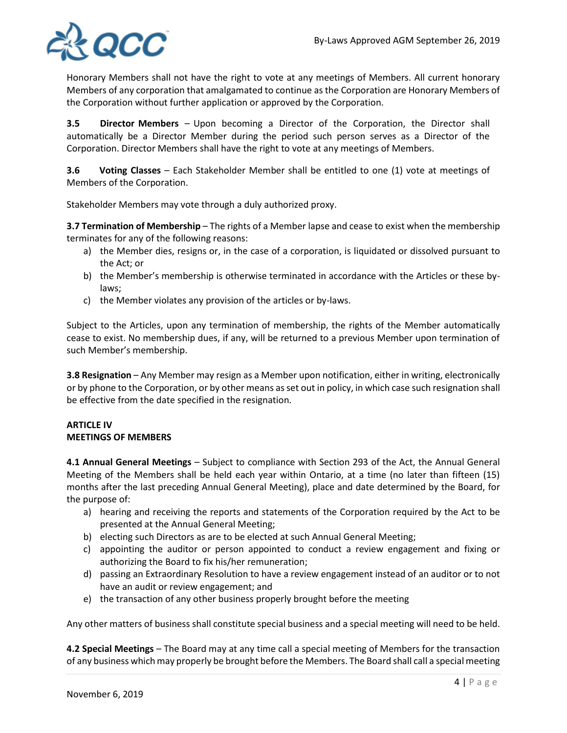

Honorary Members shall not have the right to vote at any meetings of Members. All current honorary Members of any corporation that amalgamated to continue as the Corporation are Honorary Members of the Corporation without further application or approved by the Corporation.

**3.5 Director Members** – Upon becoming a Director of the Corporation, the Director shall automatically be a Director Member during the period such person serves as a Director of the Corporation. Director Members shall have the right to vote at any meetings of Members.

**3.6 Voting Classes** – Each Stakeholder Member shall be entitled to one (1) vote at meetings of Members of the Corporation.

Stakeholder Members may vote through a duly authorized proxy.

**3.7 Termination of Membership** – The rights of a Member lapse and cease to exist when the membership terminates for any of the following reasons:

- a) the Member dies, resigns or, in the case of a corporation, is liquidated or dissolved pursuant to the Act; or
- b) the Member's membership is otherwise terminated in accordance with the Articles or these bylaws;
- c) the Member violates any provision of the articles or by-laws.

Subject to the Articles, upon any termination of membership, the rights of the Member automatically cease to exist. No membership dues, if any, will be returned to a previous Member upon termination of such Member's membership.

**3.8 Resignation** – Any Member may resign as a Member upon notification, either in writing, electronically or by phone to the Corporation, or by other means as set out in policy, in which case such resignation shall be effective from the date specified in the resignation.

### **ARTICLE IV MEETINGS OF MEMBERS**

**4.1 Annual General Meetings** – Subject to compliance with Section 293 of the Act, the Annual General Meeting of the Members shall be held each year within Ontario, at a time (no later than fifteen (15) months after the last preceding Annual General Meeting), place and date determined by the Board, for the purpose of:

- a) hearing and receiving the reports and statements of the Corporation required by the Act to be presented at the Annual General Meeting;
- b) electing such Directors as are to be elected at such Annual General Meeting;
- c) appointing the auditor or person appointed to conduct a review engagement and fixing or authorizing the Board to fix his/her remuneration;
- d) passing an Extraordinary Resolution to have a review engagement instead of an auditor or to not have an audit or review engagement; and
- e) the transaction of any other business properly brought before the meeting

Any other matters of business shall constitute special business and a special meeting will need to be held.

**4.2 Special Meetings** – The Board may at any time call a special meeting of Members for the transaction of any business which may properly be brought before the Members. The Board shall call a special meeting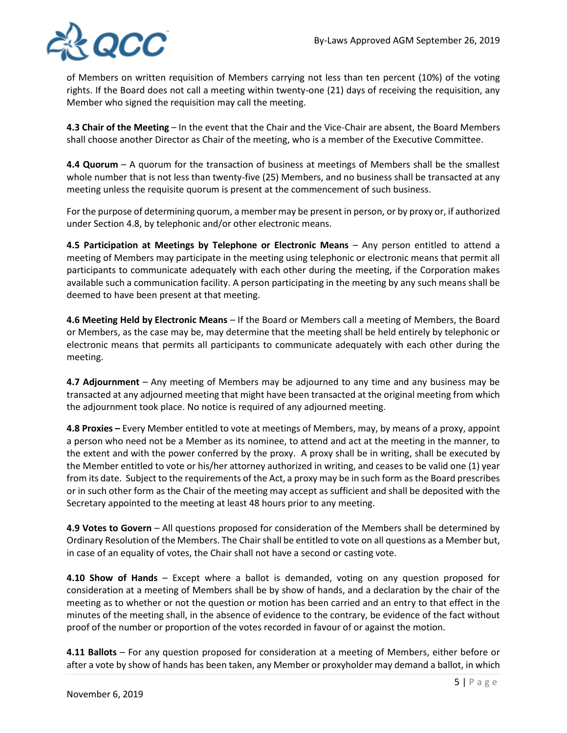

of Members on written requisition of Members carrying not less than ten percent (10%) of the voting rights. If the Board does not call a meeting within twenty-one (21) days of receiving the requisition, any Member who signed the requisition may call the meeting.

**4.3 Chair of the Meeting** – In the event that the Chair and the Vice-Chair are absent, the Board Members shall choose another Director as Chair of the meeting, who is a member of the Executive Committee.

**4.4 Quorum** – A quorum for the transaction of business at meetings of Members shall be the smallest whole number that is not less than twenty-five (25) Members, and no business shall be transacted at any meeting unless the requisite quorum is present at the commencement of such business.

For the purpose of determining quorum, a member may be present in person, or by proxy or, if authorized under Section 4.8, by telephonic and/or other electronic means.

**4.5 Participation at Meetings by Telephone or Electronic Means – Any person entitled to attend a** meeting of Members may participate in the meeting using telephonic or electronic means that permit all participants to communicate adequately with each other during the meeting, if the Corporation makes available such a communication facility. A person participating in the meeting by any such means shall be deemed to have been present at that meeting.

**4.6 Meeting Held by Electronic Means** – If the Board or Members call a meeting of Members, the Board or Members, as the case may be, may determine that the meeting shall be held entirely by telephonic or electronic means that permits all participants to communicate adequately with each other during the meeting.

**4.7 Adjournment** – Any meeting of Members may be adjourned to any time and any business may be transacted at any adjourned meeting that might have been transacted at the original meeting from which the adjournment took place. No notice is required of any adjourned meeting.

**4.8 Proxies –** Every Member entitled to vote at meetings of Members, may, by means of a proxy, appoint a person who need not be a Member as its nominee, to attend and act at the meeting in the manner, to the extent and with the power conferred by the proxy. A proxy shall be in writing, shall be executed by the Member entitled to vote or his/her attorney authorized in writing, and ceases to be valid one (1) year from its date. Subject to the requirements of the Act, a proxy may be in such form as the Board prescribes or in such other form as the Chair of the meeting may accept as sufficient and shall be deposited with the Secretary appointed to the meeting at least 48 hours prior to any meeting.

**4.9 Votes to Govern** – All questions proposed for consideration of the Members shall be determined by Ordinary Resolution of the Members. The Chair shall be entitled to vote on all questions as a Member but, in case of an equality of votes, the Chair shall not have a second or casting vote.

**4.10 Show of Hands** – Except where a ballot is demanded, voting on any question proposed for consideration at a meeting of Members shall be by show of hands, and a declaration by the chair of the meeting as to whether or not the question or motion has been carried and an entry to that effect in the minutes of the meeting shall, in the absence of evidence to the contrary, be evidence of the fact without proof of the number or proportion of the votes recorded in favour of or against the motion.

**4.11 Ballots** – For any question proposed for consideration at a meeting of Members, either before or after a vote by show of hands has been taken, any Member or proxyholder may demand a ballot, in which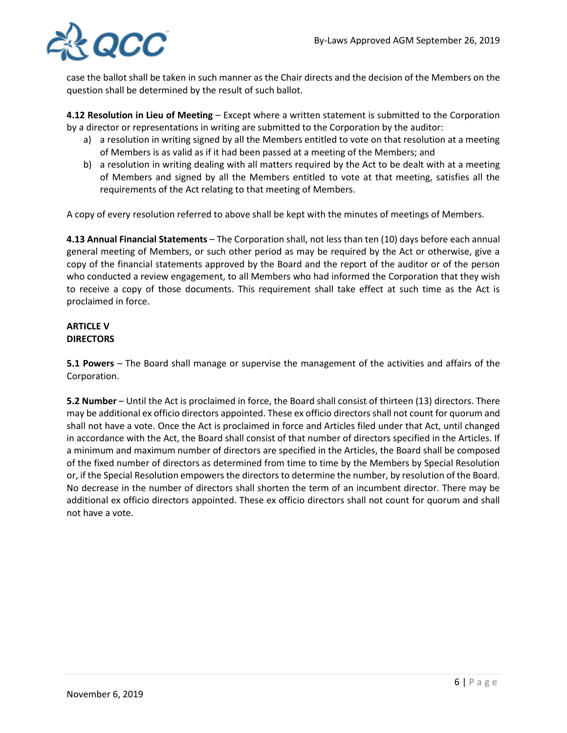

case the ballot shall be taken in such manner as the Chair directs and the decision of the Members on the question shall be determined by the result of such ballot.

**4.12 Resolution in Lieu of Meeting** – Except where a written statement is submitted to the Corporation by a director or representations in writing are submitted to the Corporation by the auditor:

- a) a resolution in writing signed by all the Members entitled to vote on that resolution at a meeting of Members is as valid as if it had been passed at a meeting of the Members; and
- b) a resolution in writing dealing with all matters required by the Act to be dealt with at a meeting of Members and signed by all the Members entitled to vote at that meeting, satisfies all the requirements of the Act relating to that meeting of Members.

A copy of every resolution referred to above shall be kept with the minutes of meetings of Members.

**4.13 Annual Financial Statements** – The Corporation shall, not less than ten (10) days before each annual general meeting of Members, or such other period as may be required by the Act or otherwise, give a copy of the financial statements approved by the Board and the report of the auditor or of the person who conducted a review engagement, to all Members who had informed the Corporation that they wish to receive a copy of those documents. This requirement shall take effect at such time as the Act is proclaimed in force.

### **ARTICLE V DIRECTORS**

**5.1 Powers** – The Board shall manage or supervise the management of the activities and affairs of the Corporation.

**5.2 Number** – Until the Act is proclaimed in force, the Board shall consist of thirteen (13) directors. There may be additional ex officio directors appointed. These ex officio directors shall not count for quorum and shall not have a vote. Once the Act is proclaimed in force and Articles filed under that Act, until changed in accordance with the Act, the Board shall consist of that number of directors specified in the Articles. If a minimum and maximum number of directors are specified in the Articles, the Board shall be composed of the fixed number of directors as determined from time to time by the Members by Special Resolution or, if the Special Resolution empowers the directors to determine the number, by resolution of the Board. No decrease in the number of directors shall shorten the term of an incumbent director. There may be additional ex officio directors appointed. These ex officio directors shall not count for quorum and shall not have a vote.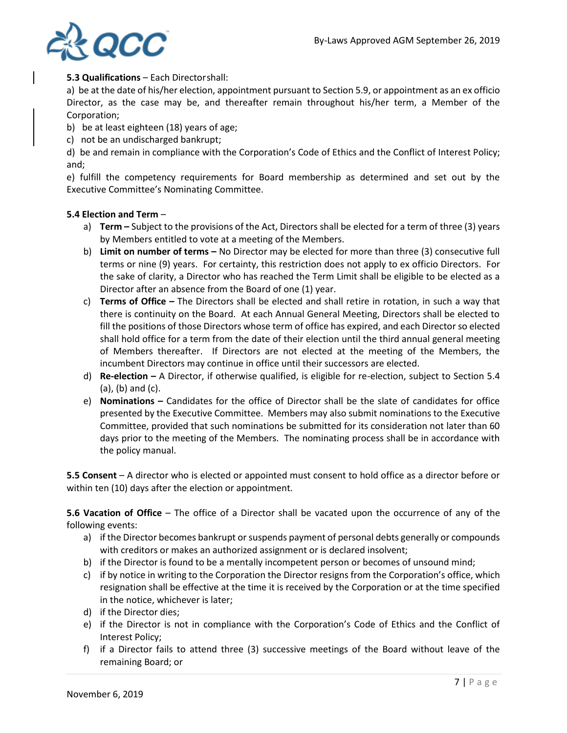

## **5.3 Qualifications** – Each Directorshall:

a) be at the date of his/her election, appointment pursuant to Section 5.9, or appointment as an ex officio Director, as the case may be, and thereafter remain throughout his/her term, a Member of the Corporation;

- b) be at least eighteen (18) years of age;
- c) not be an undischarged bankrupt;

d) be and remain in compliance with the Corporation's Code of Ethics and the Conflict of Interest Policy; and;

e) fulfill the competency requirements for Board membership as determined and set out by the Executive Committee's Nominating Committee.

### **5.4 Election and Term** –

- a) **Term –** Subject to the provisions of the Act, Directors shall be elected for a term of three (3) years by Members entitled to vote at a meeting of the Members.
- b) **Limit on number of terms –** No Director may be elected for more than three (3) consecutive full terms or nine (9) years. For certainty, this restriction does not apply to ex officio Directors. For the sake of clarity, a Director who has reached the Term Limit shall be eligible to be elected as a Director after an absence from the Board of one (1) year.
- c) **Terms of Office –** The Directors shall be elected and shall retire in rotation, in such a way that there is continuity on the Board. At each Annual General Meeting, Directors shall be elected to fill the positions of those Directors whose term of office has expired, and each Director so elected shall hold office for a term from the date of their election until the third annual general meeting of Members thereafter. If Directors are not elected at the meeting of the Members, the incumbent Directors may continue in office until their successors are elected.
- d) **Re-election –** A Director, if otherwise qualified, is eligible for re-election, subject to Section 5.4 (a), (b) and (c).
- e) **Nominations –** Candidates for the office of Director shall be the slate of candidates for office presented by the Executive Committee. Members may also submit nominations to the Executive Committee, provided that such nominations be submitted for its consideration not later than 60 days prior to the meeting of the Members. The nominating process shall be in accordance with the policy manual.

**5.5 Consent** – A director who is elected or appointed must consent to hold office as a director before or within ten (10) days after the election or appointment.

**5.6 Vacation of Office** – The office of a Director shall be vacated upon the occurrence of any of the following events:

- a) if the Director becomes bankrupt or suspends payment of personal debts generally or compounds with creditors or makes an authorized assignment or is declared insolvent;
- b) if the Director is found to be a mentally incompetent person or becomes of unsound mind;
- c) if by notice in writing to the Corporation the Director resigns from the Corporation's office, which resignation shall be effective at the time it is received by the Corporation or at the time specified in the notice, whichever is later;
- d) if the Director dies;
- e) if the Director is not in compliance with the Corporation's Code of Ethics and the Conflict of Interest Policy;
- f) if a Director fails to attend three (3) successive meetings of the Board without leave of the remaining Board; or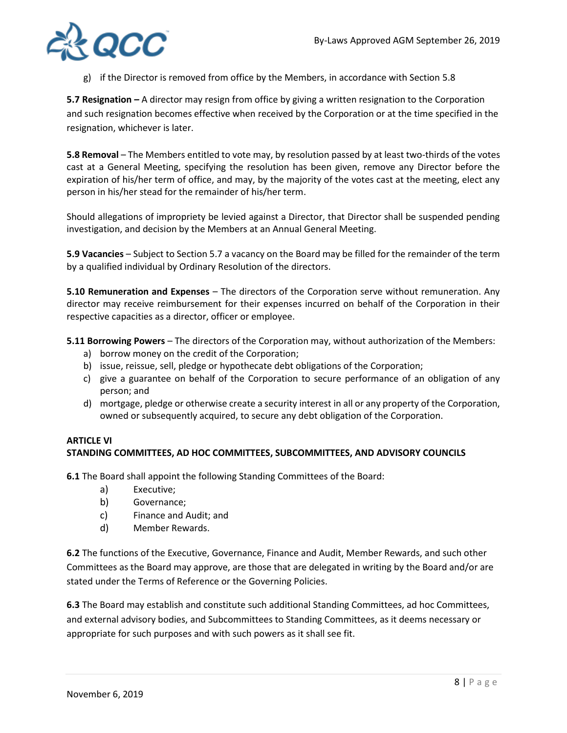

g) if the Director is removed from office by the Members, in accordance with Section 5.8

**5.7 Resignation** *–* A director may resign from office by giving a written resignation to the Corporation and such resignation becomes effective when received by the Corporation or at the time specified in the resignation, whichever is later.

**5.8 Removal** – The Members entitled to vote may, by resolution passed by at least two-thirds of the votes cast at a General Meeting, specifying the resolution has been given, remove any Director before the expiration of his/her term of office, and may, by the majority of the votes cast at the meeting, elect any person in his/her stead for the remainder of his/her term.

Should allegations of impropriety be levied against a Director, that Director shall be suspended pending investigation, and decision by the Members at an Annual General Meeting.

**5.9 Vacancies** – Subject to Section 5.7 a vacancy on the Board may be filled for the remainder of the term by a qualified individual by Ordinary Resolution of the directors.

**5.10 Remuneration and Expenses** – The directors of the Corporation serve without remuneration. Any director may receive reimbursement for their expenses incurred on behalf of the Corporation in their respective capacities as a director, officer or employee.

**5.11 Borrowing Powers** – The directors of the Corporation may, without authorization of the Members:

- a) borrow money on the credit of the Corporation;
- b) issue, reissue, sell, pledge or hypothecate debt obligations of the Corporation;
- c) give a guarantee on behalf of the Corporation to secure performance of an obligation of any person; and
- d) mortgage, pledge or otherwise create a security interest in all or any property of the Corporation, owned or subsequently acquired, to secure any debt obligation of the Corporation.

### **ARTICLE VI STANDING COMMITTEES, AD HOC COMMITTEES, SUBCOMMITTEES, AND ADVISORY COUNCILS**

**6.1** The Board shall appoint the following Standing Committees of the Board:

- a) Executive;
- b) Governance;
- c) Finance and Audit; and
- d) Member Rewards.

**6.2** The functions of the Executive, Governance, Finance and Audit, Member Rewards, and such other Committees as the Board may approve, are those that are delegated in writing by the Board and/or are stated under the Terms of Reference or the Governing Policies.

**6.3** The Board may establish and constitute such additional Standing Committees, ad hoc Committees, and external advisory bodies, and Subcommittees to Standing Committees, as it deems necessary or appropriate for such purposes and with such powers as it shall see fit.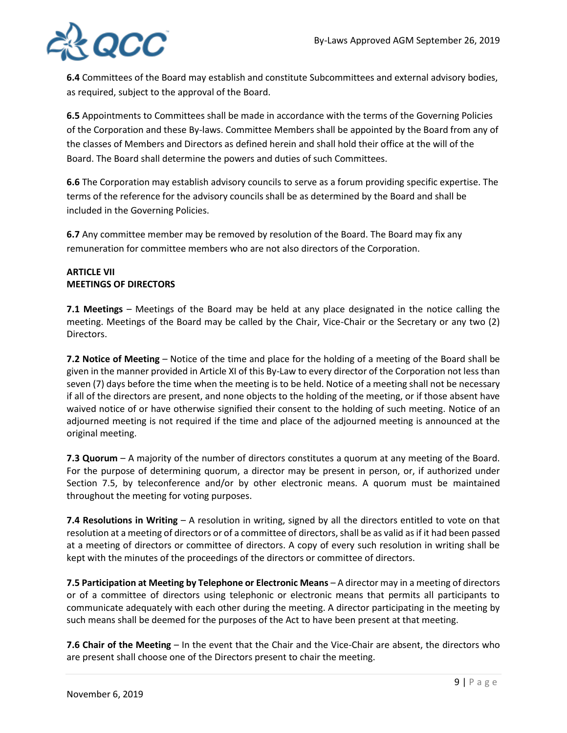

**6.4** Committees of the Board may establish and constitute Subcommittees and external advisory bodies, as required, subject to the approval of the Board.

**6.5** Appointments to Committees shall be made in accordance with the terms of the Governing Policies of the Corporation and these By-laws. Committee Members shall be appointed by the Board from any of the classes of Members and Directors as defined herein and shall hold their office at the will of the Board. The Board shall determine the powers and duties of such Committees.

**6.6** The Corporation may establish advisory councils to serve as a forum providing specific expertise. The terms of the reference for the advisory councils shall be as determined by the Board and shall be included in the Governing Policies.

**6.7** Any committee member may be removed by resolution of the Board. The Board may fix any remuneration for committee members who are not also directors of the Corporation.

## **ARTICLE VII MEETINGS OF DIRECTORS**

**7.1 Meetings** – Meetings of the Board may be held at any place designated in the notice calling the meeting. Meetings of the Board may be called by the Chair, Vice-Chair or the Secretary or any two (2) Directors.

**7.2 Notice of Meeting** – Notice of the time and place for the holding of a meeting of the Board shall be given in the manner provided in Article XI of this By-Law to every director of the Corporation not less than seven (7) days before the time when the meeting is to be held. Notice of a meeting shall not be necessary if all of the directors are present, and none objects to the holding of the meeting, or if those absent have waived notice of or have otherwise signified their consent to the holding of such meeting. Notice of an adjourned meeting is not required if the time and place of the adjourned meeting is announced at the original meeting.

**7.3 Quorum** – A majority of the number of directors constitutes a quorum at any meeting of the Board. For the purpose of determining quorum, a director may be present in person, or, if authorized under Section 7.5, by teleconference and/or by other electronic means. A quorum must be maintained throughout the meeting for voting purposes.

**7.4 Resolutions in Writing** – A resolution in writing, signed by all the directors entitled to vote on that resolution at a meeting of directors or of a committee of directors, shall be as valid as if it had been passed at a meeting of directors or committee of directors. A copy of every such resolution in writing shall be kept with the minutes of the proceedings of the directors or committee of directors.

**7.5 Participation at Meeting by Telephone or Electronic Means – A director may in a meeting of directors** or of a committee of directors using telephonic or electronic means that permits all participants to communicate adequately with each other during the meeting. A director participating in the meeting by such means shall be deemed for the purposes of the Act to have been present at that meeting.

**7.6 Chair of the Meeting** – In the event that the Chair and the Vice-Chair are absent, the directors who are present shall choose one of the Directors present to chair the meeting.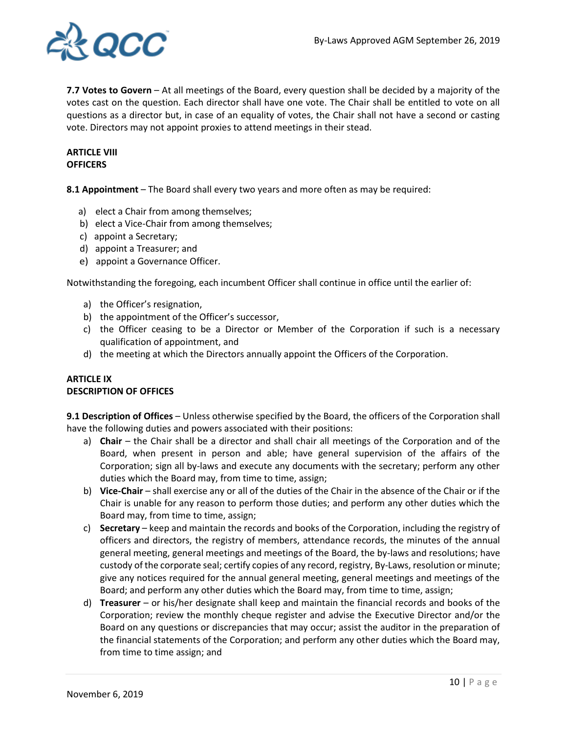

**7.7 Votes to Govern** – At all meetings of the Board, every question shall be decided by a majority of the votes cast on the question. Each director shall have one vote. The Chair shall be entitled to vote on all questions as a director but, in case of an equality of votes, the Chair shall not have a second or casting vote. Directors may not appoint proxies to attend meetings in their stead.

## **ARTICLE VIII OFFICERS**

**8.1 Appointment** – The Board shall every two years and more often as may be required:

- a) elect a Chair from among themselves;
- b) elect a Vice-Chair from among themselves;
- c) appoint a Secretary;
- d) appoint a Treasurer; and
- e) appoint a Governance Officer.

Notwithstanding the foregoing, each incumbent Officer shall continue in office until the earlier of:

- a) the Officer's resignation,
- b) the appointment of the Officer's successor,
- c) the Officer ceasing to be a Director or Member of the Corporation if such is a necessary qualification of appointment, and
- d) the meeting at which the Directors annually appoint the Officers of the Corporation.

### **ARTICLE IX DESCRIPTION OF OFFICES**

**9.1 Description of Offices** – Unless otherwise specified by the Board, the officers of the Corporation shall have the following duties and powers associated with their positions:

- a) **Chair** the Chair shall be a director and shall chair all meetings of the Corporation and of the Board, when present in person and able; have general supervision of the affairs of the Corporation; sign all by-laws and execute any documents with the secretary; perform any other duties which the Board may, from time to time, assign;
- b) **Vice-Chair** shall exercise any or all of the duties of the Chair in the absence of the Chair or if the Chair is unable for any reason to perform those duties; and perform any other duties which the Board may, from time to time, assign;
- c) **Secretary** keep and maintain the records and books of the Corporation, including the registry of officers and directors, the registry of members, attendance records, the minutes of the annual general meeting, general meetings and meetings of the Board, the by-laws and resolutions; have custody of the corporate seal; certify copies of any record, registry, By-Laws, resolution or minute; give any notices required for the annual general meeting, general meetings and meetings of the Board; and perform any other duties which the Board may, from time to time, assign;
- d) **Treasurer** or his/her designate shall keep and maintain the financial records and books of the Corporation; review the monthly cheque register and advise the Executive Director and/or the Board on any questions or discrepancies that may occur; assist the auditor in the preparation of the financial statements of the Corporation; and perform any other duties which the Board may, from time to time assign; and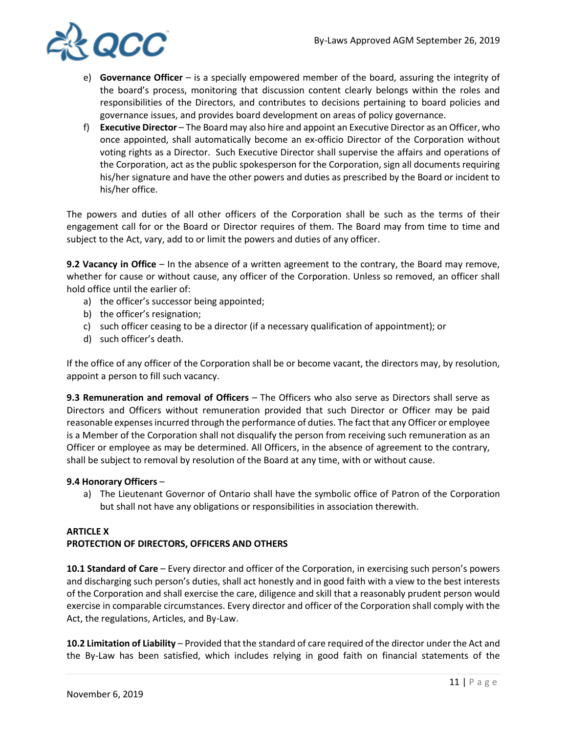

- e) **Governance Officer**  is a specially empowered member of the board, assuring the integrity of the board's process, monitoring that discussion content clearly belongs within the roles and responsibilities of the Directors, and contributes to decisions pertaining to board policies and governance issues, and provides board development on areas of policy governance.
- f) **Executive Director**  The Board may also hire and appoint an Executive Director as an Officer, who once appointed, shall automatically become an ex-officio Director of the Corporation without voting rights as a Director. Such Executive Director shall supervise the affairs and operations of the Corporation, act as the public spokesperson for the Corporation, sign all documents requiring his/her signature and have the other powers and duties as prescribed by the Board or incident to his/her office.

The powers and duties of all other officers of the Corporation shall be such as the terms of their engagement call for or the Board or Director requires of them. The Board may from time to time and subject to the Act, vary, add to or limit the powers and duties of any officer.

**9.2 Vacancy in Office** – In the absence of a written agreement to the contrary, the Board may remove, whether for cause or without cause, any officer of the Corporation. Unless so removed, an officer shall hold office until the earlier of:

- a) the officer's successor being appointed;
- b) the officer's resignation;
- c) such officer ceasing to be a director (if a necessary qualification of appointment); or
- d) such officer's death.

If the office of any officer of the Corporation shall be or become vacant, the directors may, by resolution, appoint a person to fill such vacancy.

**9.3 Remuneration and removal of Officers** – The Officers who also serve as Directors shall serve as Directors and Officers without remuneration provided that such Director or Officer may be paid reasonable expenses incurred through the performance of duties. The fact that any Officer or employee is a Member of the Corporation shall not disqualify the person from receiving such remuneration as an Officer or employee as may be determined. All Officers, in the absence of agreement to the contrary, shall be subject to removal by resolution of the Board at any time, with or without cause.

### **9.4 Honorary Officers** –

a) The Lieutenant Governor of Ontario shall have the symbolic office of Patron of the Corporation but shall not have any obligations or responsibilities in association therewith.

# **ARTICLE X PROTECTION OF DIRECTORS, OFFICERS AND OTHERS**

**10.1 Standard of Care** – Every director and officer of the Corporation, in exercising such person's powers and discharging such person's duties, shall act honestly and in good faith with a view to the best interests of the Corporation and shall exercise the care, diligence and skill that a reasonably prudent person would exercise in comparable circumstances. Every director and officer of the Corporation shall comply with the Act, the regulations, Articles, and By-Law.

**10.2 Limitation of Liability** – Provided that the standard of care required of the director under the Act and the By-Law has been satisfied, which includes relying in good faith on financial statements of the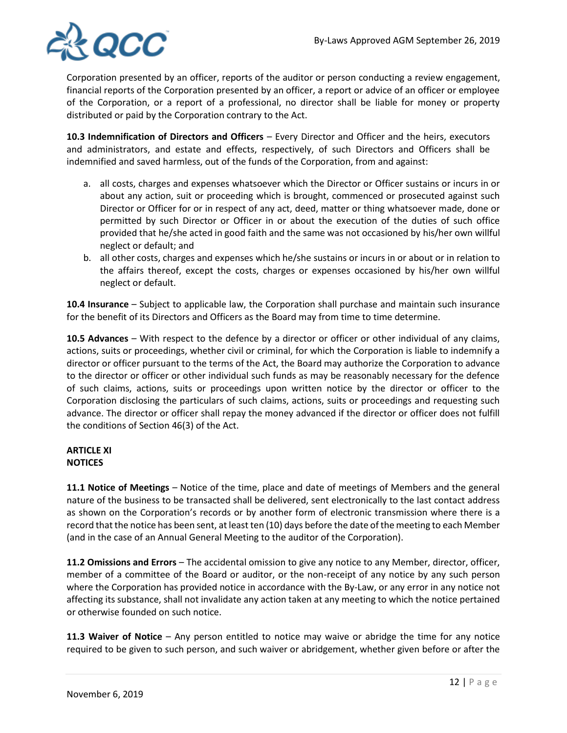

Corporation presented by an officer, reports of the auditor or person conducting a review engagement, financial reports of the Corporation presented by an officer, a report or advice of an officer or employee of the Corporation, or a report of a professional, no director shall be liable for money or property distributed or paid by the Corporation contrary to the Act.

**10.3 Indemnification of Directors and Officers** – Every Director and Officer and the heirs, executors and administrators, and estate and effects, respectively, of such Directors and Officers shall be indemnified and saved harmless, out of the funds of the Corporation, from and against:

- a. all costs, charges and expenses whatsoever which the Director or Officer sustains or incurs in or about any action, suit or proceeding which is brought, commenced or prosecuted against such Director or Officer for or in respect of any act, deed, matter or thing whatsoever made, done or permitted by such Director or Officer in or about the execution of the duties of such office provided that he/she acted in good faith and the same was not occasioned by his/her own willful neglect or default; and
- b. all other costs, charges and expenses which he/she sustains or incurs in or about or in relation to the affairs thereof, except the costs, charges or expenses occasioned by his/her own willful neglect or default.

**10.4 Insurance** – Subject to applicable law, the Corporation shall purchase and maintain such insurance for the benefit of its Directors and Officers as the Board may from time to time determine.

**10.5 Advances** – With respect to the defence by a director or officer or other individual of any claims, actions, suits or proceedings, whether civil or criminal, for which the Corporation is liable to indemnify a director or officer pursuant to the terms of the Act, the Board may authorize the Corporation to advance to the director or officer or other individual such funds as may be reasonably necessary for the defence of such claims, actions, suits or proceedings upon written notice by the director or officer to the Corporation disclosing the particulars of such claims, actions, suits or proceedings and requesting such advance. The director or officer shall repay the money advanced if the director or officer does not fulfill the conditions of Section 46(3) of the Act.

## **ARTICLE XI NOTICES**

**11.1 Notice of Meetings** – Notice of the time, place and date of meetings of Members and the general nature of the business to be transacted shall be delivered, sent electronically to the last contact address as shown on the Corporation's records or by another form of electronic transmission where there is a record that the notice has been sent, at least ten (10) days before the date of the meeting to each Member (and in the case of an Annual General Meeting to the auditor of the Corporation).

**11.2 Omissions and Errors** – The accidental omission to give any notice to any Member, director, officer, member of a committee of the Board or auditor, or the non-receipt of any notice by any such person where the Corporation has provided notice in accordance with the By-Law, or any error in any notice not affecting its substance, shall not invalidate any action taken at any meeting to which the notice pertained or otherwise founded on such notice.

**11.3 Waiver of Notice** – Any person entitled to notice may waive or abridge the time for any notice required to be given to such person, and such waiver or abridgement, whether given before or after the